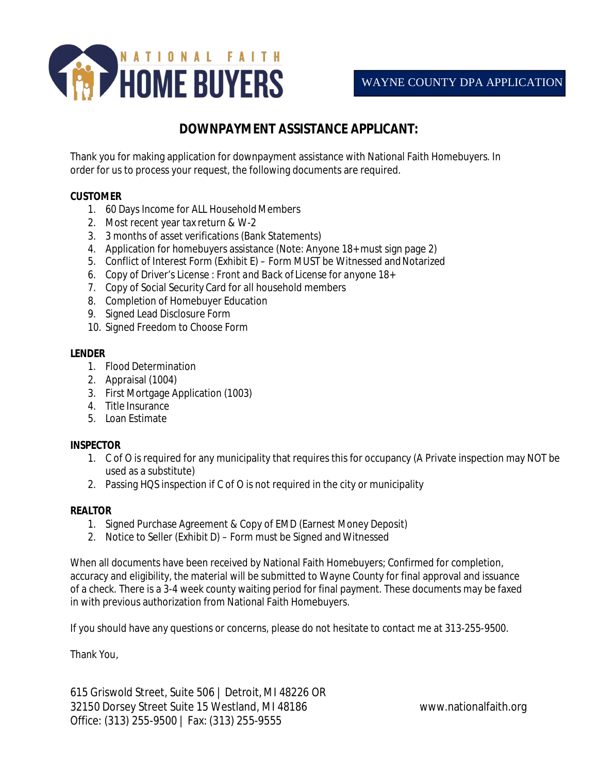

## **DOWNPAYMENT ASSISTANCE APPLICANT:**

Thank you for making application for downpayment assistance with National Faith Homebuyers. In order for us to process your request, the following documents are required.

#### **CUSTOMER**

- 1. 60 Days Income for ALL Household Members
- 2. Most recent year tax return & W-2
- 3. 3 months of asset verifications (Bank Statements)
- 4. Application for homebuyers assistance (Note: Anyone 18+ must sign page 2)
- 5. Conflict of Interest Form (Exhibit E) Form MUST be Witnessed and Notarized
- *6.* Copy of Driver's License : *Front and Back of License for anyone 18+*
- 7. Copy of Social Security Card for all household members
- 8. Completion of Homebuyer Education
- 9. Signed Lead Disclosure Form
- 10. Signed Freedom to Choose Form

#### **LENDER**

- 1. Flood Determination
- 2. Appraisal (1004)
- 3. First Mortgage Application (1003)
- 4. Title Insurance
- 5. Loan Estimate

#### **INSPECTOR**

- 1. C of O is required for any municipality that requires this for occupancy (A Private inspection may NOT be used as a substitute)
- 2. Passing HQS inspection if C of O is not required in the city or municipality

#### **REALTOR**

- 1. Signed Purchase Agreement & Copy of EMD (Earnest Money Deposit)
- 2. Notice to Seller (Exhibit D) Form must be Signed and Witnessed

When all documents have been received by National Faith Homebuyers; Confirmed for completion, accuracy and eligibility, the material will be submitted to Wayne County for final approval and issuance of a check. There is a 3-4 week county waiting period for final payment. These documents may be faxed in with previous authorization from National Faith Homebuyers.

If you should have any questions or concerns, please do not hesitate to contact me at 313-255-9500.

Thank You,

615 Griswold Street, Suite 506 | Detroit, MI 48226 OR 32150 Dorsey Street Suite 15 Westland, MI 48186 [www.nationalfaith.org](http://www.nationalfaith.org) Office: (313) 255-9500 | Fax: (313) 255-9555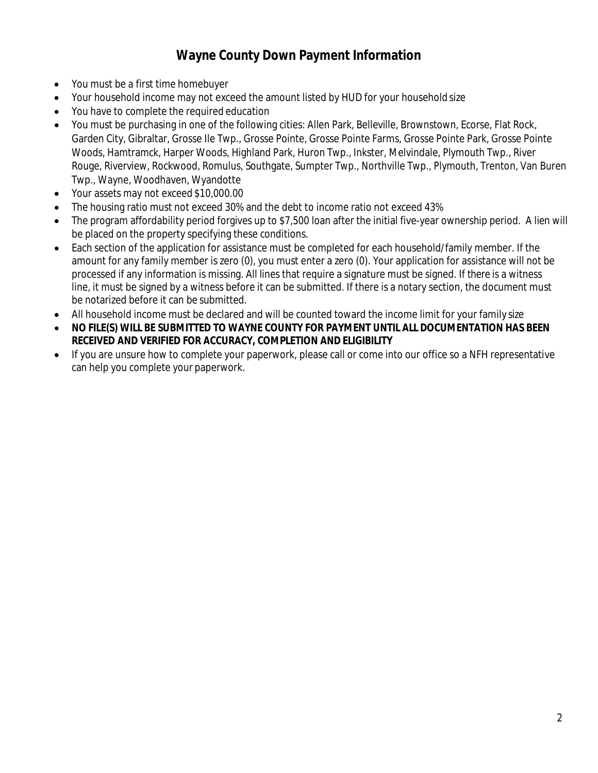## **Wayne County Down Payment Information**

- You must be a first time homebuyer
- Your household income may not exceed the amount listed by HUD for your household size
- You have to complete the required education
- You must be purchasing in one of the following cities: Allen Park, Belleville, Brownstown, Ecorse, Flat Rock, Garden City, Gibraltar, Grosse Ile Twp., Grosse Pointe, Grosse Pointe Farms, Grosse Pointe Park, Grosse Pointe Woods, Hamtramck, Harper Woods, Highland Park, Huron Twp., Inkster, Melvindale, Plymouth Twp., River Rouge, Riverview, Rockwood, Romulus, Southgate, Sumpter Twp., Northville Twp., Plymouth, Trenton, Van Buren Twp., Wayne, Woodhaven, Wyandotte
- Your assets may not exceed \$10,000.00
- The housing ratio must not exceed 30% and the debt to income ratio not exceed 43%
- The program affordability period forgives up to \$7,500 loan after the initial five-year ownership period. A lien will be placed on the property specifying these conditions.
- Each section of the application for assistance must be completed for each household/family member. If the amount for any family member is zero (0), you must enter a zero (0). Your application for assistance will not be processed if any information is missing. All lines that require a signature must be signed. If there is a witness line, it must be signed by a witness before it can be submitted. If there is a notary section, the document must be notarized before it can be submitted.
- All household income must be declared and will be counted toward the income limit for your family size
- **NO FILE(S) WILL BE SUBMITTED TO WAYNE COUNTY FOR PAYMENT UNTIL ALL DOCUMENTATION HAS BEEN RECEIVED AND VERIFIED FOR ACCURACY, COMPLETION AND ELIGIBILITY**
- If you are unsure how to complete your paperwork, please call or come into our office so a NFH representative can help you complete your paperwork.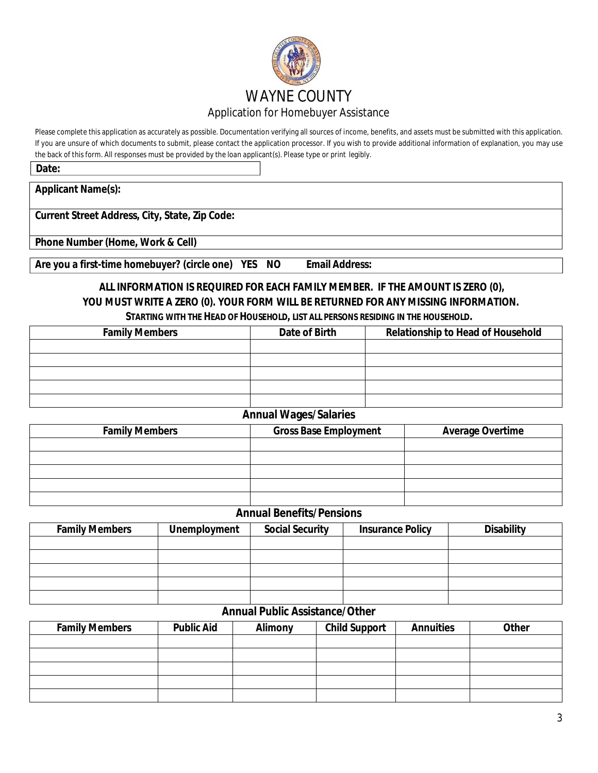

Please complete this application as accurately as possible. Documentation verifying all sources of income, benefits, and assets must be submitted with this application. If you are unsure of which documents to submit, please contact the application processor. If you wish to provide additional information of explanation, you may use the back of this form. All responses must be provided by the loan applicant(s). Please type or print legibly.

**Date:**

**Applicant Name(s):**

**Current Street Address, City, State, Zip Code:**

**Phone Number (Home, Work & Cell)**

**Are you a first-time homebuyer? (circle one) YES NO Email Address:**

# **ALL INFORMATION IS REQUIRED FOR EACH FAMILY MEMBER. IF THE AMOUNT IS ZERO (0), YOU MUST WRITE A ZERO (0). YOUR FORM WILL BE RETURNED FOR ANY MISSING INFORMATION.**

| <b>Family Members</b> | Date of Birth | <b>Relationship to Head of Household</b> |
|-----------------------|---------------|------------------------------------------|
|                       |               |                                          |
|                       |               |                                          |
|                       |               |                                          |
|                       |               |                                          |
|                       |               |                                          |

#### **Annual Wages/Salaries**

| <b>Family Members</b> | <b>Gross Base Employment</b> | <b>Average Overtime</b> |
|-----------------------|------------------------------|-------------------------|
|                       |                              |                         |
|                       |                              |                         |
|                       |                              |                         |
|                       |                              |                         |
|                       |                              |                         |

#### **Annual Benefits/Pensions**

| <b>Family Members</b> | <b>Unemployment</b> | <b>Social Security</b> | <b>Insurance Policy</b> | <b>Disability</b> |
|-----------------------|---------------------|------------------------|-------------------------|-------------------|
|                       |                     |                        |                         |                   |
|                       |                     |                        |                         |                   |
|                       |                     |                        |                         |                   |
|                       |                     |                        |                         |                   |
|                       |                     |                        |                         |                   |

#### **Annual Public Assistance/Other**

| <b>Family Members</b> | <b>Public Aid</b> | <b>Alimony</b> | <b>Child Support</b> | <b>Annuities</b> | <b>Other</b> |
|-----------------------|-------------------|----------------|----------------------|------------------|--------------|
|                       |                   |                |                      |                  |              |
|                       |                   |                |                      |                  |              |
|                       |                   |                |                      |                  |              |
|                       |                   |                |                      |                  |              |
|                       |                   |                |                      |                  |              |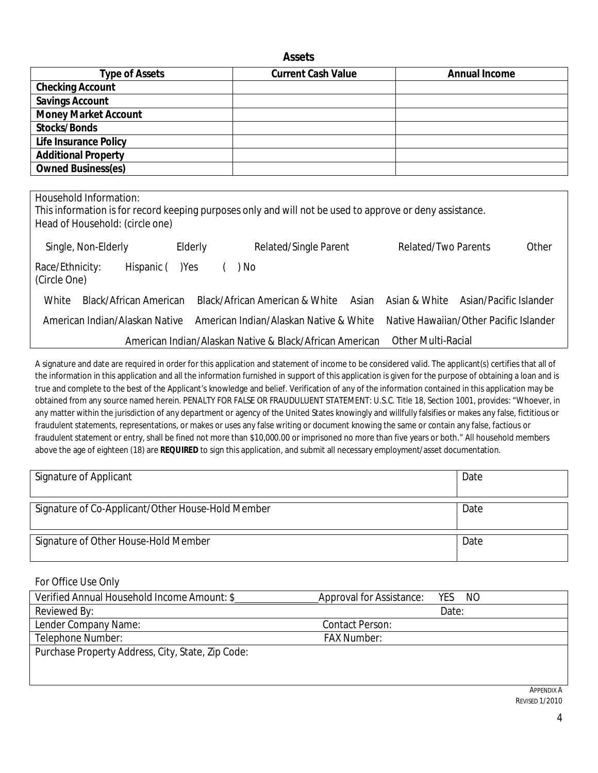#### **Assets**

| <b>Type of Assets</b>        | <b>Current Cash Value</b> | <b>Annual Income</b> |
|------------------------------|---------------------------|----------------------|
| <b>Checking Account</b>      |                           |                      |
| <b>Savings Account</b>       |                           |                      |
| <b>Money Market Account</b>  |                           |                      |
| <b>Stocks/Bonds</b>          |                           |                      |
| <b>Life Insurance Policy</b> |                           |                      |
| <b>Additional Property</b>   |                           |                      |
| <b>Owned Business(es)</b>    |                           |                      |

Household Information: Thisinformation is for record keeping purposes only and will not be used to approve or deny assistance. Head of Household: (circle one) Single, Non-Elderly Elderly Hispanic ()Yes ( Related/Single Parent ) No Related/Two Parents Other Race/Ethnicity: (Circle One) White Black/African American Black/African American & White Asian American Indian/Alaskan Native American Indian/Alaskan Native & White American Indian/Alaskan Native & Black/African American Asian & White Asian/Pacific Islander Native Hawaiian/Other Pacific Islander Other Multi-Racial

A signature and date are required in order for this application and statement of income to be considered valid. The applicant(s) certifies that all of the information in this application and all the information furnished in support of this application is given for the purpose of obtaining a loan and is true and complete to the best of the Applicant's knowledge and belief. Verification of any of the information contained in this application may be obtained from any source named herein. PENALTY FOR FALSE OR FRAUDULUENT STATEMENT: U.S.C. Title 18, Section 1001, provides: "Whoever, in any matter within the jurisdiction of any department or agency of the United States knowingly and willfully falsifies or makes any false, fictitious or fraudulent statements, representations, or makes or uses any false writing or document knowing the same or contain any false, factious or fraudulent statement or entry, shall be fined not more than \$10,000.00 or imprisoned no more than five years or both." All household members above the age of eighteen (18) are *REQUIRED* to sign this application, and submit all necessary employment/asset documentation.

| <b>Signature of Applicant</b>                     | Date |
|---------------------------------------------------|------|
| Signature of Co-Applicant/Other House-Hold Member | Date |
| Signature of Other House-Hold Member              | Date |

For Office Use Only

| Verified Annual Household Income Amount: \$       | Approval for Assistance:<br>YES.<br>NO. |
|---------------------------------------------------|-----------------------------------------|
| Reviewed By:                                      | Date:                                   |
| Lender Company Name:                              | Contact Person:                         |
| Telephone Number:                                 | <b>FAX Number:</b>                      |
| Purchase Property Address, City, State, Zip Code: |                                         |
|                                                   |                                         |
|                                                   |                                         |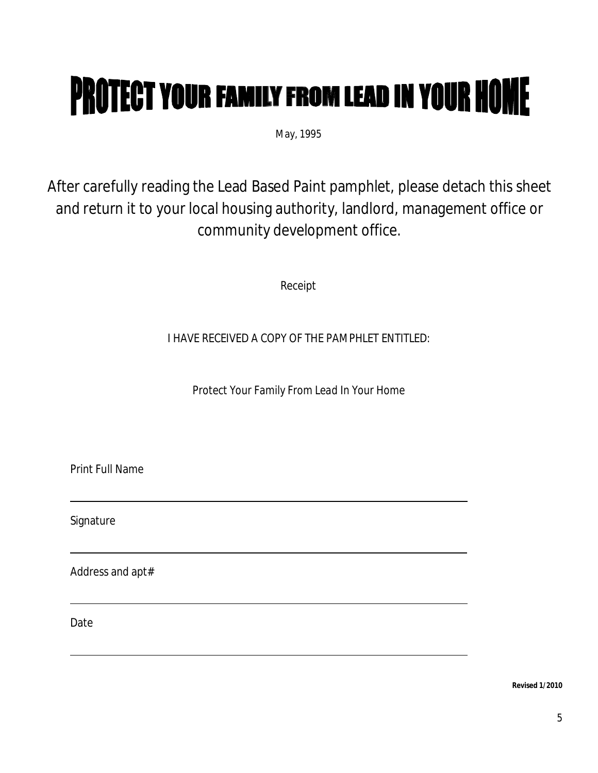# **PROTECT YOUR FAMILY FROM LEAD IN YOUR HOME**

May, 1995

After carefully reading the Lead Based Paint pamphlet, please detach this sheet and return it to your local housing authority, landlord, management office or community development office.

Receipt

I HAVE RECEIVED A COPY OF THE PAMPHLET ENTITLED:

*Protect Your Family From Lead In Your Home*

Print Full Name

Signature

Address and apt#

Date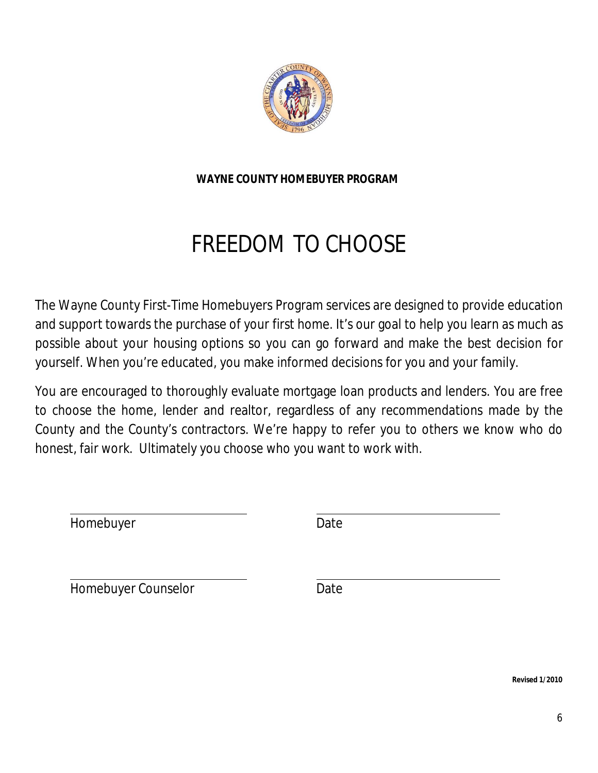

**WAYNE COUNTY HOMEBUYER PROGRAM**

# FREEDOM TO CHOOSE

The Wayne County First-Time Homebuyers Program services are designed to provide education and support towards the purchase of your first home. It's our goal to help you learn as much as possible about your housing options so you can go forward and make the best decision for yourself. When you're educated, you make informed decisions for you and your family.

You are encouraged to thoroughly evaluate mortgage loan products and lenders. You are free to choose the home, lender and realtor, regardless of any recommendations made by the County and the County's contractors. We're happy to refer you to others we know who do honest, fair work. Ultimately you choose who you want to work with.

Homebuyer Date

Homebuyer Counselor **Date**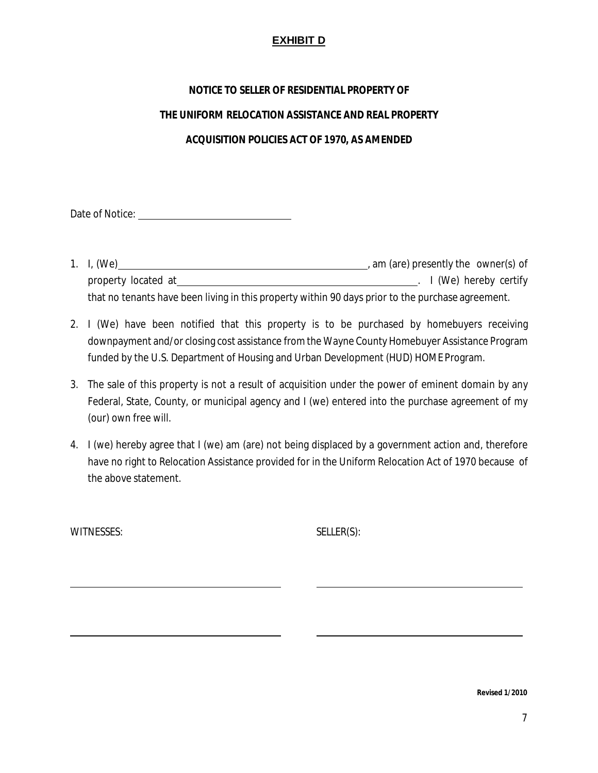#### **EXHIBIT D**

#### **NOTICE TO SELLER OF RESIDENTIAL PROPERTY OF**

#### **THE UNIFORM RELOCATION ASSISTANCE AND REAL PROPERTY**

#### **ACQUISITION POLICIES ACT OF 1970, AS AMENDED**

Date of Notice:

- 1. I, (We) , am (are) presently the owner(s) of property located at . I (We) hereby certify that no tenants have been living in this property within 90 days prior to the purchase agreement.
- 2. I (We) have been notified that this property is to be purchased by homebuyers receiving downpayment and/or closing cost assistance from the Wayne County Homebuyer Assistance Program funded by the U.S. Department of Housing and Urban Development (HUD) HOME Program.
- 3. The sale of this property is not a result of acquisition under the power of eminent domain by any Federal, State, County, or municipal agency and I (we) entered into the purchase agreement of my (our) own free will.
- 4. I (we) hereby agree that I (we) am (are) not being displaced by a government action and, therefore have no right to Relocation Assistance provided for in the Uniform Relocation Act of 1970 because of the above statement.

WITNESSES: SELLER(S):